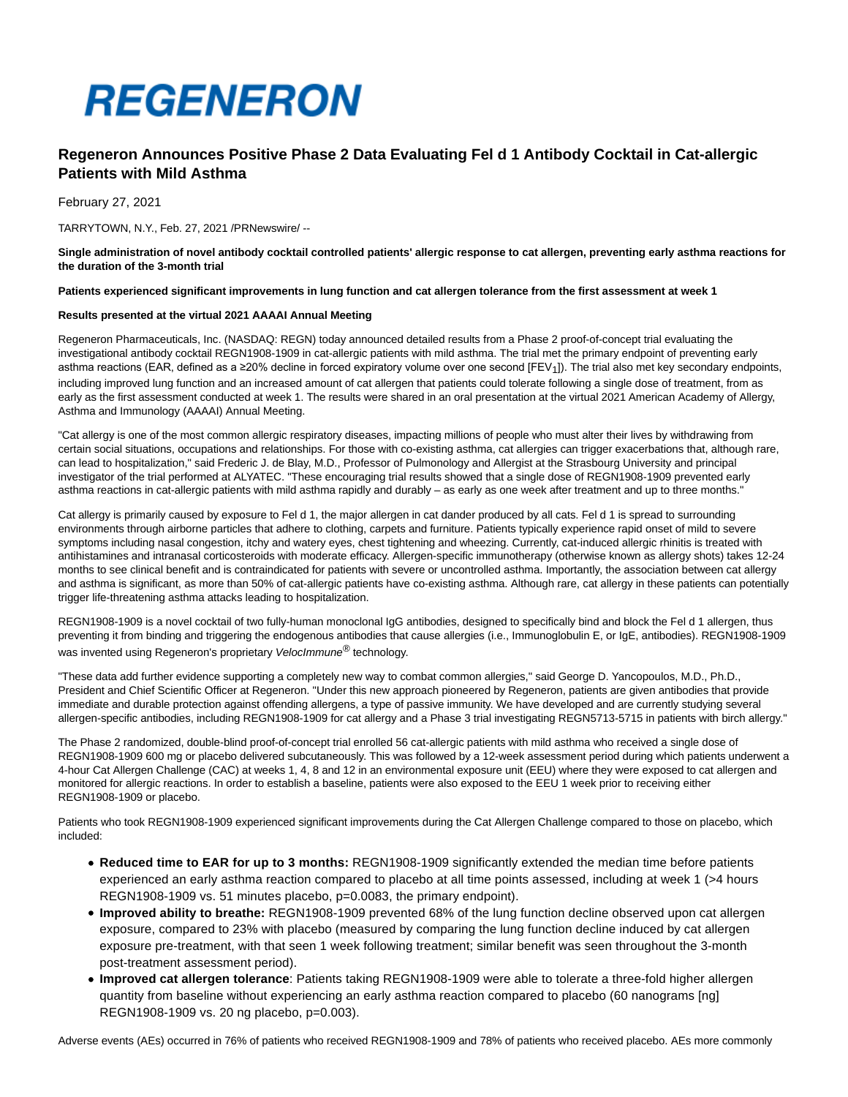

# **Regeneron Announces Positive Phase 2 Data Evaluating Fel d 1 Antibody Cocktail in Cat-allergic Patients with Mild Asthma**

February 27, 2021

TARRYTOWN, N.Y., Feb. 27, 2021 /PRNewswire/ --

**Single administration of novel antibody cocktail controlled patients' allergic response to cat allergen, preventing early asthma reactions for the duration of the 3-month trial**

**Patients experienced significant improvements in lung function and cat allergen tolerance from the first assessment at week 1**

### **Results presented at the virtual 2021 AAAAI Annual Meeting**

Regeneron Pharmaceuticals, Inc. (NASDAQ: REGN) today announced detailed results from a Phase 2 proof-of-concept trial evaluating the investigational antibody cocktail REGN1908-1909 in cat-allergic patients with mild asthma. The trial met the primary endpoint of preventing early asthma reactions (EAR, defined as a ≥20% decline in forced expiratory volume over one second [FEV<sub>1</sub>]). The trial also met key secondary endpoints, including improved lung function and an increased amount of cat allergen that patients could tolerate following a single dose of treatment, from as early as the first assessment conducted at week 1. The results were shared in an oral presentation at the virtual 2021 American Academy of Allergy, Asthma and Immunology (AAAAI) Annual Meeting.

"Cat allergy is one of the most common allergic respiratory diseases, impacting millions of people who must alter their lives by withdrawing from certain social situations, occupations and relationships. For those with co-existing asthma, cat allergies can trigger exacerbations that, although rare, can lead to hospitalization," said Frederic J. de Blay, M.D., Professor of Pulmonology and Allergist at the Strasbourg University and principal investigator of the trial performed at ALYATEC. "These encouraging trial results showed that a single dose of REGN1908-1909 prevented early asthma reactions in cat-allergic patients with mild asthma rapidly and durably – as early as one week after treatment and up to three months."

Cat allergy is primarily caused by exposure to Fel d 1, the major allergen in cat dander produced by all cats. Fel d 1 is spread to surrounding environments through airborne particles that adhere to clothing, carpets and furniture. Patients typically experience rapid onset of mild to severe symptoms including nasal congestion, itchy and watery eyes, chest tightening and wheezing. Currently, cat-induced allergic rhinitis is treated with antihistamines and intranasal corticosteroids with moderate efficacy. Allergen-specific immunotherapy (otherwise known as allergy shots) takes 12-24 months to see clinical benefit and is contraindicated for patients with severe or uncontrolled asthma. Importantly, the association between cat allergy and asthma is significant, as more than 50% of cat-allergic patients have co-existing asthma. Although rare, cat allergy in these patients can potentially trigger life-threatening asthma attacks leading to hospitalization.

REGN1908-1909 is a novel cocktail of two fully-human monoclonal IgG antibodies, designed to specifically bind and block the Fel d 1 allergen, thus preventing it from binding and triggering the endogenous antibodies that cause allergies (i.e., Immunoglobulin E, or IgE, antibodies). REGN1908-1909 was invented using Regeneron's proprietary VelocImmune® technology.

"These data add further evidence supporting a completely new way to combat common allergies," said George D. Yancopoulos, M.D., Ph.D., President and Chief Scientific Officer at Regeneron. "Under this new approach pioneered by Regeneron, patients are given antibodies that provide immediate and durable protection against offending allergens, a type of passive immunity. We have developed and are currently studying several allergen-specific antibodies, including REGN1908-1909 for cat allergy and a Phase 3 trial investigating REGN5713-5715 in patients with birch allergy."

The Phase 2 randomized, double-blind proof-of-concept trial enrolled 56 cat-allergic patients with mild asthma who received a single dose of REGN1908-1909 600 mg or placebo delivered subcutaneously. This was followed by a 12-week assessment period during which patients underwent a 4-hour Cat Allergen Challenge (CAC) at weeks 1, 4, 8 and 12 in an environmental exposure unit (EEU) where they were exposed to cat allergen and monitored for allergic reactions. In order to establish a baseline, patients were also exposed to the EEU 1 week prior to receiving either REGN1908-1909 or placebo.

Patients who took REGN1908-1909 experienced significant improvements during the Cat Allergen Challenge compared to those on placebo, which included:

- **Reduced time to EAR for up to 3 months:** REGN1908-1909 significantly extended the median time before patients experienced an early asthma reaction compared to placebo at all time points assessed, including at week 1 (>4 hours REGN1908-1909 vs. 51 minutes placebo, p=0.0083, the primary endpoint).
- **Improved ability to breathe:** REGN1908-1909 prevented 68% of the lung function decline observed upon cat allergen exposure, compared to 23% with placebo (measured by comparing the lung function decline induced by cat allergen exposure pre-treatment, with that seen 1 week following treatment; similar benefit was seen throughout the 3-month post-treatment assessment period).
- **Improved cat allergen tolerance**: Patients taking REGN1908-1909 were able to tolerate a three-fold higher allergen quantity from baseline without experiencing an early asthma reaction compared to placebo (60 nanograms [ng] REGN1908-1909 vs. 20 ng placebo, p=0.003).

Adverse events (AEs) occurred in 76% of patients who received REGN1908-1909 and 78% of patients who received placebo. AEs more commonly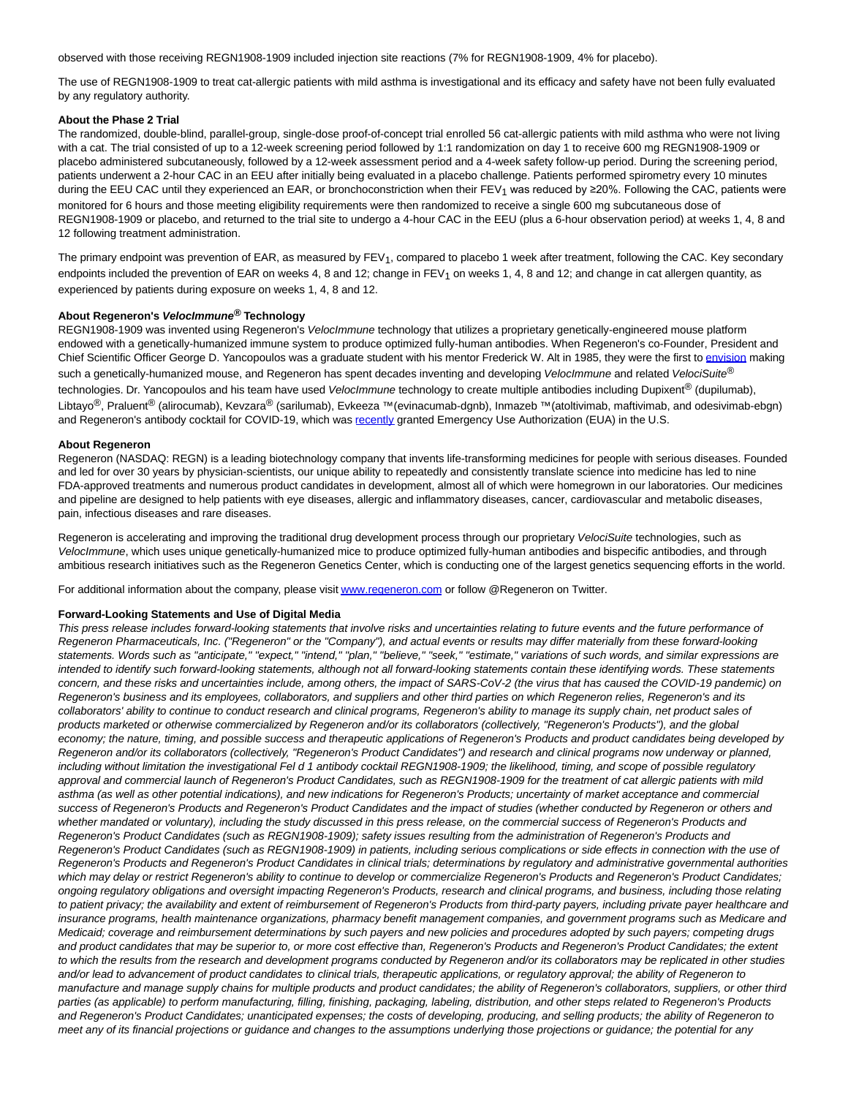observed with those receiving REGN1908-1909 included injection site reactions (7% for REGN1908-1909, 4% for placebo).

The use of REGN1908-1909 to treat cat-allergic patients with mild asthma is investigational and its efficacy and safety have not been fully evaluated by any regulatory authority.

### **About the Phase 2 Trial**

The randomized, double-blind, parallel-group, single-dose proof-of-concept trial enrolled 56 cat-allergic patients with mild asthma who were not living with a cat. The trial consisted of up to a 12-week screening period followed by 1:1 randomization on day 1 to receive 600 mg REGN1908-1909 or placebo administered subcutaneously, followed by a 12-week assessment period and a 4-week safety follow-up period. During the screening period, patients underwent a 2-hour CAC in an EEU after initially being evaluated in a placebo challenge. Patients performed spirometry every 10 minutes during the EEU CAC until they experienced an EAR, or bronchoconstriction when their FEV<sub>1</sub> was reduced by ≥20%. Following the CAC, patients were monitored for 6 hours and those meeting eligibility requirements were then randomized to receive a single 600 mg subcutaneous dose of REGN1908-1909 or placebo, and returned to the trial site to undergo a 4-hour CAC in the EEU (plus a 6-hour observation period) at weeks 1, 4, 8 and 12 following treatment administration.

The primary endpoint was prevention of EAR, as measured by FEV<sub>1</sub>, compared to placebo 1 week after treatment, following the CAC. Key secondary endpoints included the prevention of EAR on weeks 4, 8 and 12; change in FEV<sub>1</sub> on weeks 1, 4, 8 and 12; and change in cat allergen quantity, as experienced by patients during exposure on weeks 1, 4, 8 and 12.

## **About Regeneron's VelocImmune® Technology**

REGN1908-1909 was invented using Regeneron's Veloclmmune technology that utilizes a proprietary genetically-engineered mouse platform endowed with a genetically-humanized immune system to produce optimized fully-human antibodies. When Regeneron's co-Founder, President and Chief Scientific Officer George D. Yancopoulos was a graduate student with his mentor Frederick W. Alt in 1985, they were the first to [envision m](https://c212.net/c/link/?t=0&l=en&o=3081255-1&h=19272505&u=https%3A%2F%2Fwww.sciencedirect.com%2Fscience%2Farticle%2Fabs%2Fpii%2F0168952585900897&a=envision)aking such a genetically-humanized mouse, and Regeneron has spent decades inventing and developing Veloclmmune and related VelociSuite® technologies. Dr. Yancopoulos and his team have used Veloclmmune technology to create multiple antibodies including Dupixent® (dupilumab), Libtayo<sup>®</sup>, Praluent<sup>®</sup> (alirocumab), Kevzara® (sarilumab), Evkeeza ™ (evinacumab-dgnb), Inmazeb ™ (atoltivimab, maftivimab, and odesivimab-ebgn) and Regeneron's antibody cocktail for COVID-19, which was [recently g](https://c212.net/c/link/?t=0&l=en&o=3081255-1&h=2797724316&u=https%3A%2F%2Finvestor.regeneron.com%2Fnews-releases%2Fnews-release-details%2Fregenerons-regen-cov2-first-antibody-cocktail-covid-19-receive&a=recently)ranted Emergency Use Authorization (EUA) in the U.S.

### **About Regeneron**

Regeneron (NASDAQ: REGN) is a leading biotechnology company that invents life-transforming medicines for people with serious diseases. Founded and led for over 30 years by physician-scientists, our unique ability to repeatedly and consistently translate science into medicine has led to nine FDA-approved treatments and numerous product candidates in development, almost all of which were homegrown in our laboratories. Our medicines and pipeline are designed to help patients with eye diseases, allergic and inflammatory diseases, cancer, cardiovascular and metabolic diseases, pain, infectious diseases and rare diseases.

Regeneron is accelerating and improving the traditional drug development process through our proprietary VelociSuite technologies, such as VelocImmune, which uses unique genetically-humanized mice to produce optimized fully-human antibodies and bispecific antibodies, and through ambitious research initiatives such as the Regeneron Genetics Center, which is conducting one of the largest genetics sequencing efforts in the world.

For additional information about the company, please visi[t www.regeneron.com o](https://c212.net/c/link/?t=0&l=en&o=3081255-1&h=2970638664&u=http%3A%2F%2Fwww.regeneron.com%2F&a=www.regeneron.com)r follow @Regeneron on Twitter.

#### **Forward-Looking Statements and Use of Digital Media**

This press release includes forward-looking statements that involve risks and uncertainties relating to future events and the future performance of Regeneron Pharmaceuticals, Inc. ("Regeneron" or the "Company"), and actual events or results may differ materially from these forward-looking statements. Words such as "anticipate," "expect," "intend," "plan," "believe," "seek," "estimate," variations of such words, and similar expressions are intended to identify such forward-looking statements, although not all forward-looking statements contain these identifying words. These statements concern, and these risks and uncertainties include, among others, the impact of SARS-CoV-2 (the virus that has caused the COVID-19 pandemic) on Regeneron's business and its employees, collaborators, and suppliers and other third parties on which Regeneron relies, Regeneron's and its collaborators' ability to continue to conduct research and clinical programs, Regeneron's ability to manage its supply chain, net product sales of products marketed or otherwise commercialized by Regeneron and/or its collaborators (collectively, "Regeneron's Products"), and the global economy; the nature, timing, and possible success and therapeutic applications of Regeneron's Products and product candidates being developed by Regeneron and/or its collaborators (collectively, "Regeneron's Product Candidates") and research and clinical programs now underway or planned, including without limitation the investigational Fel d 1 antibody cocktail REGN1908-1909; the likelihood, timing, and scope of possible regulatory approval and commercial launch of Regeneron's Product Candidates, such as REGN1908-1909 for the treatment of cat allergic patients with mild asthma (as well as other potential indications), and new indications for Regeneron's Products; uncertainty of market acceptance and commercial success of Regeneron's Products and Regeneron's Product Candidates and the impact of studies (whether conducted by Regeneron or others and whether mandated or voluntary), including the study discussed in this press release, on the commercial success of Regeneron's Products and Regeneron's Product Candidates (such as REGN1908-1909); safety issues resulting from the administration of Regeneron's Products and Regeneron's Product Candidates (such as REGN1908-1909) in patients, including serious complications or side effects in connection with the use of Regeneron's Products and Regeneron's Product Candidates in clinical trials; determinations by regulatory and administrative governmental authorities which may delay or restrict Regeneron's ability to continue to develop or commercialize Regeneron's Products and Regeneron's Product Candidates; ongoing regulatory obligations and oversight impacting Regeneron's Products, research and clinical programs, and business, including those relating to patient privacy; the availability and extent of reimbursement of Regeneron's Products from third-party payers, including private payer healthcare and insurance programs, health maintenance organizations, pharmacy benefit management companies, and government programs such as Medicare and Medicaid; coverage and reimbursement determinations by such payers and new policies and procedures adopted by such payers; competing drugs and product candidates that may be superior to, or more cost effective than, Regeneron's Products and Regeneron's Product Candidates; the extent to which the results from the research and development programs conducted by Regeneron and/or its collaborators may be replicated in other studies and/or lead to advancement of product candidates to clinical trials, therapeutic applications, or regulatory approval; the ability of Regeneron to manufacture and manage supply chains for multiple products and product candidates; the ability of Regeneron's collaborators, suppliers, or other third parties (as applicable) to perform manufacturing, filling, finishing, packaging, labeling, distribution, and other steps related to Regeneron's Products and Regeneron's Product Candidates; unanticipated expenses; the costs of developing, producing, and selling products; the ability of Regeneron to meet any of its financial projections or guidance and changes to the assumptions underlying those projections or guidance; the potential for any